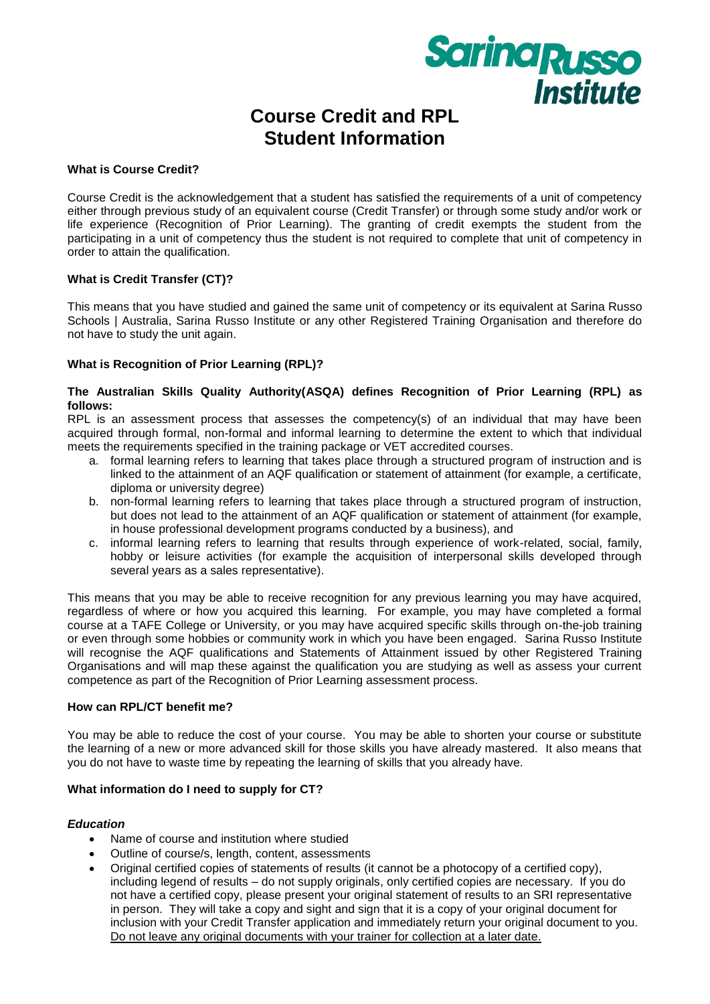

# **Course Credit and RPL Student Information**

#### **What is Course Credit?**

Course Credit is the acknowledgement that a student has satisfied the requirements of a unit of competency either through previous study of an equivalent course (Credit Transfer) or through some study and/or work or life experience (Recognition of Prior Learning). The granting of credit exempts the student from the participating in a unit of competency thus the student is not required to complete that unit of competency in order to attain the qualification.

# **What is Credit Transfer (CT)?**

This means that you have studied and gained the same unit of competency or its equivalent at Sarina Russo Schools | Australia, Sarina Russo Institute or any other Registered Training Organisation and therefore do not have to study the unit again.

### **What is Recognition of Prior Learning (RPL)?**

#### **The Australian Skills Quality Authority(ASQA) defines Recognition of Prior Learning (RPL) as follows:**

RPL is an assessment process that assesses the competency(s) of an individual that may have been acquired through formal, non-formal and informal learning to determine the extent to which that individual meets the requirements specified in the training package or VET accredited courses.

- a. formal learning refers to learning that takes place through a structured program of instruction and is linked to the attainment of an AQF qualification or statement of attainment (for example, a certificate, diploma or university degree)
- b. non-formal learning refers to learning that takes place through a structured program of instruction, but does not lead to the attainment of an AQF qualification or statement of attainment (for example, in house professional development programs conducted by a business), and
- c. informal learning refers to learning that results through experience of work-related, social, family, hobby or leisure activities (for example the acquisition of interpersonal skills developed through several years as a sales representative).

This means that you may be able to receive recognition for any previous learning you may have acquired, regardless of where or how you acquired this learning. For example, you may have completed a formal course at a TAFE College or University, or you may have acquired specific skills through on-the-job training or even through some hobbies or community work in which you have been engaged. Sarina Russo Institute will recognise the AQF qualifications and Statements of Attainment issued by other Registered Training Organisations and will map these against the qualification you are studying as well as assess your current competence as part of the Recognition of Prior Learning assessment process.

#### **How can RPL/CT benefit me?**

You may be able to reduce the cost of your course. You may be able to shorten your course or substitute the learning of a new or more advanced skill for those skills you have already mastered. It also means that you do not have to waste time by repeating the learning of skills that you already have.

#### **What information do I need to supply for CT?**

#### *Education*

- Name of course and institution where studied
- Outline of course/s, length, content, assessments
- Original certified copies of statements of results (it cannot be a photocopy of a certified copy), including legend of results – do not supply originals, only certified copies are necessary. If you do not have a certified copy, please present your original statement of results to an SRI representative in person. They will take a copy and sight and sign that it is a copy of your original document for inclusion with your Credit Transfer application and immediately return your original document to you. Do not leave any original documents with your trainer for collection at a later date.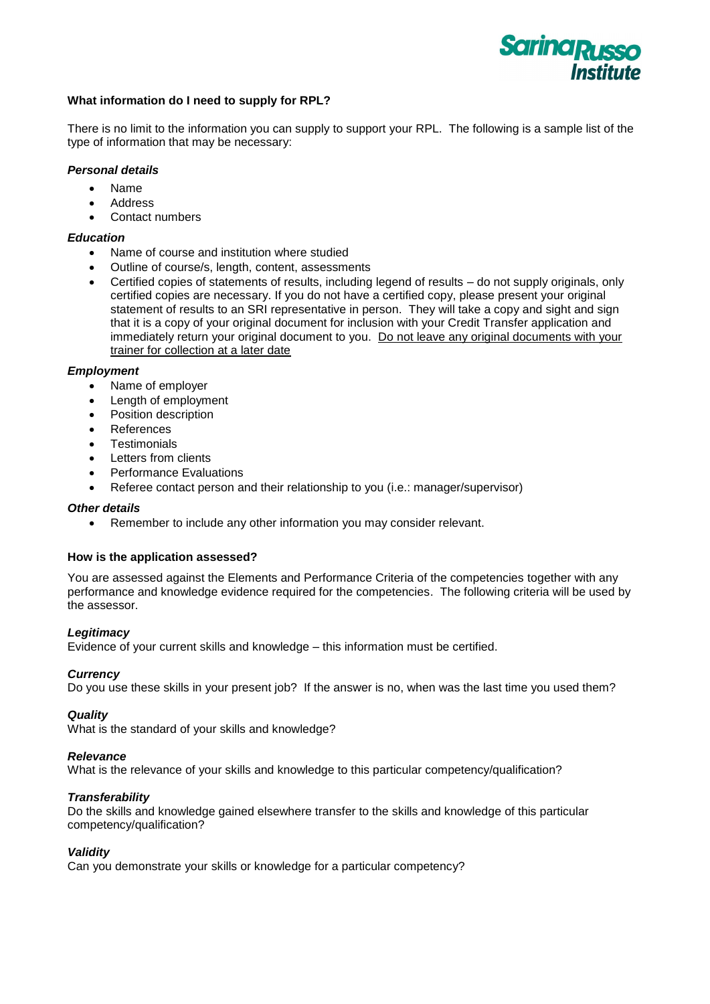

# **What information do I need to supply for RPL?**

There is no limit to the information you can supply to support your RPL. The following is a sample list of the type of information that may be necessary:

#### *Personal details*

- Name
- Address
- Contact numbers

### *Education*

- Name of course and institution where studied
- Outline of course/s, length, content, assessments
- Certified copies of statements of results, including legend of results do not supply originals, only certified copies are necessary. If you do not have a certified copy, please present your original statement of results to an SRI representative in person. They will take a copy and sight and sign that it is a copy of your original document for inclusion with your Credit Transfer application and immediately return your original document to you. Do not leave any original documents with your trainer for collection at a later date

#### *Employment*

- Name of employer
- Length of employment
- Position description
- References
- **•** Testimonials
- Letters from clients
- Performance Evaluations
- Referee contact person and their relationship to you (i.e.: manager/supervisor)

#### *Other details*

Remember to include any other information you may consider relevant.

#### **How is the application assessed?**

You are assessed against the Elements and Performance Criteria of the competencies together with any performance and knowledge evidence required for the competencies. The following criteria will be used by the assessor.

#### *Legitimacy*

Evidence of your current skills and knowledge – this information must be certified.

#### *Currency*

Do you use these skills in your present job? If the answer is no, when was the last time you used them?

#### *Quality*

What is the standard of your skills and knowledge?

#### *Relevance*

What is the relevance of your skills and knowledge to this particular competency/qualification?

# *Transferability*

Do the skills and knowledge gained elsewhere transfer to the skills and knowledge of this particular competency/qualification?

#### *Validity*

Can you demonstrate your skills or knowledge for a particular competency?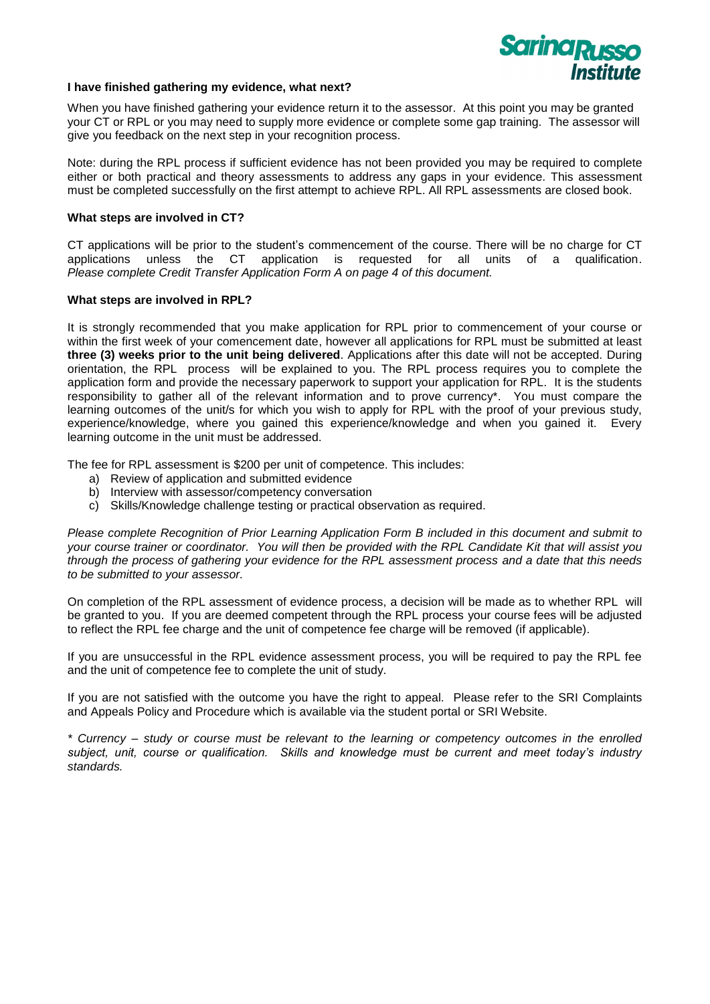

#### **I have finished gathering my evidence, what next?**

When you have finished gathering your evidence return it to the assessor. At this point you may be granted your CT or RPL or you may need to supply more evidence or complete some gap training. The assessor will give you feedback on the next step in your recognition process.

Note: during the RPL process if sufficient evidence has not been provided you may be required to complete either or both practical and theory assessments to address any gaps in your evidence. This assessment must be completed successfully on the first attempt to achieve RPL. All RPL assessments are closed book.

#### **What steps are involved in CT?**

CT applications will be prior to the student's commencement of the course. There will be no charge for CT applications unless the CT application is requested for all units of a qualification. *Please complete Credit Transfer Application Form A on page 4 of this document.*

#### **What steps are involved in RPL?**

It is strongly recommended that you make application for RPL prior to commencement of your course or within the first week of your comencement date, however all applications for RPL must be submitted at least **three (3) weeks prior to the unit being delivered**. Applications after this date will not be accepted. During orientation, the RPL process will be explained to you. The RPL process requires you to complete the application form and provide the necessary paperwork to support your application for RPL. It is the students responsibility to gather all of the relevant information and to prove currency\*. You must compare the learning outcomes of the unit/s for which you wish to apply for RPL with the proof of your previous study, experience/knowledge, where you gained this experience/knowledge and when you gained it. Every learning outcome in the unit must be addressed.

The fee for RPL assessment is \$200 per unit of competence. This includes:

- a) Review of application and submitted evidence
- b) Interview with assessor/competency conversation
- c) Skills/Knowledge challenge testing or practical observation as required.

*Please complete Recognition of Prior Learning Application Form B included in this document and submit to your course trainer or coordinator. You will then be provided with the RPL Candidate Kit that will assist you through the process of gathering your evidence for the RPL assessment process and a date that this needs to be submitted to your assessor.*

On completion of the RPL assessment of evidence process, a decision will be made as to whether RPL will be granted to you. If you are deemed competent through the RPL process your course fees will be adjusted to reflect the RPL fee charge and the unit of competence fee charge will be removed (if applicable).

If you are unsuccessful in the RPL evidence assessment process, you will be required to pay the RPL fee and the unit of competence fee to complete the unit of study.

If you are not satisfied with the outcome you have the right to appeal. Please refer to the SRI Complaints and Appeals Policy and Procedure which is available via the student portal or SRI Website.

*\* Currency – study or course must be relevant to the learning or competency outcomes in the enrolled subject, unit, course or qualification. Skills and knowledge must be current and meet today's industry standards.*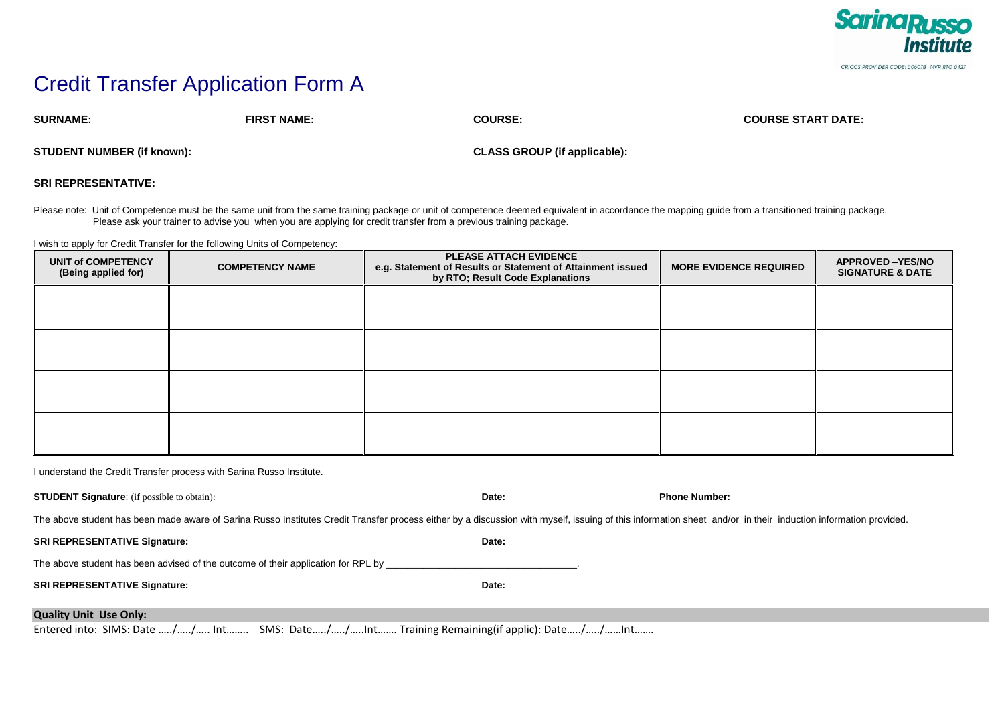

# Credit Transfer Application Form A

**SURNAME: FIRST NAME: COURSE: COURSE START DATE:**

**STUDENT NUMBER (if known): CLASS GROUP (if applicable):**

**SRI REPRESENTATIVE:** 

Please note: Unit of Competence must be the same unit from the same training package or unit of competence deemed equivalent in accordance the mapping guide from a transitioned training package. Please ask your trainer to advise you when you are applying for credit transfer from a previous training package.

I wish to apply for Credit Transfer for the following Units of Competency:

| UNIT of COMPETENCY<br>(Being applied for) | <b>COMPETENCY NAME</b> | <b>PLEASE ATTACH EVIDENCE</b><br>e.g. Statement of Results or Statement of Attainment issued<br>by RTO; Result Code Explanations | <b>MORE EVIDENCE REQUIRED</b> | <b>APPROVED-YES/NO</b><br><b>SIGNATURE &amp; DATE</b> |
|-------------------------------------------|------------------------|----------------------------------------------------------------------------------------------------------------------------------|-------------------------------|-------------------------------------------------------|
|                                           |                        |                                                                                                                                  |                               |                                                       |
|                                           |                        |                                                                                                                                  |                               |                                                       |
|                                           |                        |                                                                                                                                  |                               |                                                       |
|                                           |                        |                                                                                                                                  |                               |                                                       |

I understand the Credit Transfer process with Sarina Russo Institute.

| <b>STUDENT Signature:</b> (if possible to obtain):                                                                                                                                                             | Date: | <b>Phone Number:</b> |  |  |  |
|----------------------------------------------------------------------------------------------------------------------------------------------------------------------------------------------------------------|-------|----------------------|--|--|--|
| The above student has been made aware of Sarina Russo Institutes Credit Transfer process either by a discussion with myself, issuing of this information sheet and/or in their induction information provided. |       |                      |  |  |  |
| <b>SRI REPRESENTATIVE Signature:</b>                                                                                                                                                                           | Date: |                      |  |  |  |
| The above student has been advised of the outcome of their application for RPL by                                                                                                                              |       |                      |  |  |  |
| <b>SRI REPRESENTATIVE Signature:</b>                                                                                                                                                                           | Date: |                      |  |  |  |
|                                                                                                                                                                                                                |       |                      |  |  |  |
| <b>Quality Unit Use Only:</b>                                                                                                                                                                                  |       |                      |  |  |  |

Entered into: SIMS: Date …../…../….. Int…….. SMS: Date…../…../…..Int……. Training Remaining(if applic): Date…../…../……Int…….